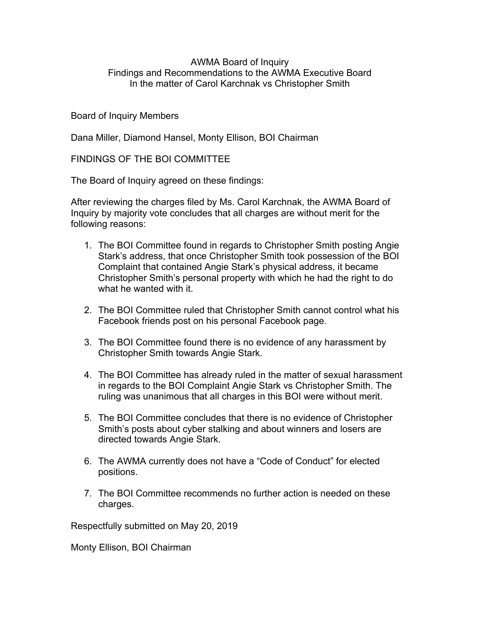## AWMA Board of Inquiry Findings and Recommendations to the AWMA Executive Board In the matter of Carol Karchnak vs Christopher Smith

## Board of Inquiry Members

Dana Miller, Diamond Hansel, Monty Ellison, BOI Chairman

FINDINGS OF THE BOI COMMITTEE

The Board of Inquiry agreed on these findings:

After reviewing the charges filed by Ms. Carol Karchnak, the AWMA Board of Inquiry by majority vote concludes that all charges are without merit for the following reasons:

- 1. The BOI Committee found in regards to Christopher Smith posting Angie Stark's address, that once Christopher Smith took possession of the BOI Complaint that contained Angie Stark's physical address, it became Christopher Smith's personal property with which he had the right to do what he wanted with it.
- 2. The BOI Committee ruled that Christopher Smith cannot control what his Facebook friends post on his personal Facebook page.
- 3. The BOI Committee found there is no evidence of any harassment by Christopher Smith towards Angie Stark.
- 4. The BOI Committee has already ruled in the matter of sexual harassment in regards to the BOI Complaint Angie Stark vs Christopher Smith. The ruling was unanimous that all charges in this BOI were without merit.
- 5. The BOI Committee concludes that there is no evidence of Christopher Smith's posts about cyber stalking and about winners and losers are directed towards Angie Stark.
- 6. The AWMA currently does not have a "Code of Conduct" for elected positions.
- 7. The BOI Committee recommends no further action is needed on these charges.

Respectfully submitted on May 20, 2019

Monty Ellison, BOI Chairman